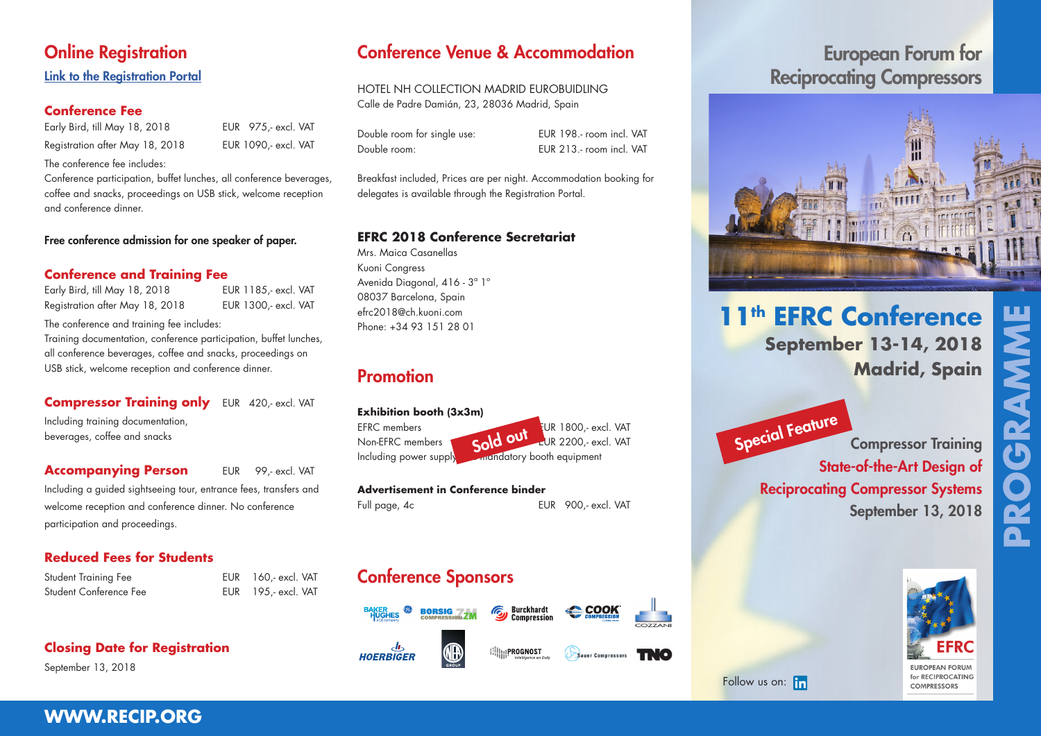## **Online Registration**

#### Link to the R[egistration Portal](https://kuonicongress.eventsair.com/efrc-2018/registration)

#### **Conference Fee**

Early Bird, till May 18, 2018 EUR 975,- excl. VAT Registration after May 18, 2018 EUR 1090,- excl. VAT

The conference fee includes:

Conference participation, buffet lunches, all conference beverages, coffee and snacks, proceedings on USB stick, welcome reception and conference dinner.

#### Free conference admission for one speaker of paper.

#### **Conference and Training Fee**

| Early Bird, till May 18, 2018   |  |
|---------------------------------|--|
| Registration after May 18, 2018 |  |

The conference and training fee includes:

Training documentation, conference participation, buffet lunches, all conference beverages, coffee and snacks, proceedings on USB stick, welcome reception and conference dinner.

**Compressor Training only** EUR 420,- excl. VAT Including training documentation, beverages, coffee and snacks

#### **Accompanying Person** EUR 99,- excl. VAT

EUR 1185,- excl. VAT EUR 1300,- excl. VAT

Including a guided sightseeing tour, entrance fees, transfers and welcome reception and conference dinner. No conference participation and proceedings.

#### **Reduced Fees for Students**

| <b>Student Training Fee</b> |
|-----------------------------|
| Student Conference Fee      |

EUR 160,- excl. VAT EUR 195,- excl. VAT

**Closing Date for Registration**

September 13, 2018

## Conference Venue & Accommodation

HOTEL NH COLLECTION MADRID EUROBUIDLING Calle de Padre Damián, 23, 28036 Madrid, Spain

Double room for single use: EUR 198.- room incl. VAT Double room: EUR 213.- room incl. VAT

Breakfast included, Prices are per night. Accommodation booking for delegates is available through the R[egistration Portal.](https://kuonicongress.eventsair.com/efrc-2018/registration)

#### **EFRC 2018 Conference Secretariat**

Mrs. Maica Casanellas Kuoni Congress Avenida Diagonal, 416 - 3ª 1º 08037 Barcelona, Spain efrc2018@ch.kuoni.com Phone: +34 93 151 28 01

## Promotion

#### **Exhibition booth (3x3m)**

EFRC members EUR 1800,- excl. VAT

Non-EFRC members **Europe Cold OUI** FUR 2200,- excl. VAT Including power supply and mandatory booth equipment Sold out

#### **Advertisement in Conference binder**

Full page, 4c **EUR** 900,- excl. VAT

# Conference Sponsors

 $56$ **BORSIG** 



**William PROGNOST** 

#### $d_{\mathbf{b}}$ **HOERBIGER**



# Reciprocating Compressors

European Forum for



# **11th EFRC Conference September 13-14, 2018 Madrid, Spain**

**PROGRAMME**  GRAMMI A



**COMPRESSORS** 

Compressor Training

September 13, 2018

State-of-the-Art Design of

Reciprocating Compressor Systems

### Followus on: Fin

Special Feature

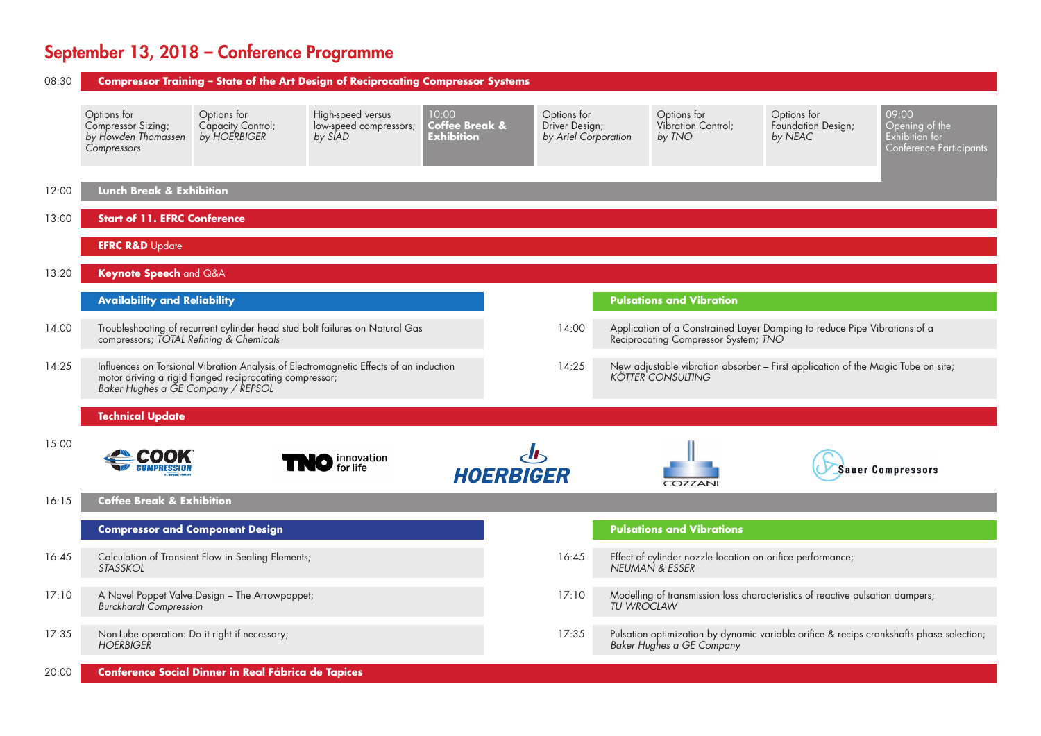# September 13, 2018 – Conference Programme

| 08:30 |                                                                         |                                                         | Compressor Training - State of the Art Design of Reciprocating Compressor Systems     |                                              |                                                       |                   |                                                                              |                                                                                  |                                                                                           |
|-------|-------------------------------------------------------------------------|---------------------------------------------------------|---------------------------------------------------------------------------------------|----------------------------------------------|-------------------------------------------------------|-------------------|------------------------------------------------------------------------------|----------------------------------------------------------------------------------|-------------------------------------------------------------------------------------------|
|       | Options for<br>Compressor Sizing;<br>by Howden Thomassen<br>Compressors | Options for<br>Capacity Control;<br>by HOERBIGER        | High-speed versus<br>low-speed compressors;<br>by SIAD                                | 10:00<br>Coffee Break &<br><b>Exhibition</b> | Options for<br>Driver Design;<br>by Ariel Corporation |                   | Options for<br>Vibration Control;<br>by TNO                                  | Options for<br>Foundation Design;<br>by NEAC                                     | 09:00<br>$\overline{O}$ pening of the<br>Exhibition for<br><b>Conference Participants</b> |
| 12:00 | Lunch Break & Exhibition                                                |                                                         |                                                                                       |                                              |                                                       |                   |                                                                              |                                                                                  |                                                                                           |
| 13:00 | <b>Start of 11. EFRC Conference</b>                                     |                                                         |                                                                                       |                                              |                                                       |                   |                                                                              |                                                                                  |                                                                                           |
|       | <b>EFRC R&amp;D</b> Update                                              |                                                         |                                                                                       |                                              |                                                       |                   |                                                                              |                                                                                  |                                                                                           |
| 13:20 | Keynote Speech and Q&A                                                  |                                                         |                                                                                       |                                              |                                                       |                   |                                                                              |                                                                                  |                                                                                           |
|       | <b>Availability and Reliability</b>                                     |                                                         |                                                                                       |                                              |                                                       |                   | <b>Pulsations and Vibration</b>                                              |                                                                                  |                                                                                           |
| 14:00 | compressors; TOTAL Refining & Chemicals                                 |                                                         | Troubleshooting of recurrent cylinder head stud bolt failures on Natural Gas          |                                              | 14:00                                                 |                   | Reciprocating Compressor System; TNO                                         | Application of a Constrained Layer Damping to reduce Pipe Vibrations of a        |                                                                                           |
| 14:25 | Baker Hughes a GE Company / REPSOL                                      | motor driving a rigid flanged reciprocating compressor; | Influences on Torsional Vibration Analysis of Electromagnetic Effects of an induction |                                              | 14:25                                                 |                   | <b>KÖTTER CONSULTING</b>                                                     | New adjustable vibration absorber - First application of the Magic Tube on site; |                                                                                           |
|       | <b>Technical Update</b>                                                 |                                                         |                                                                                       |                                              |                                                       |                   |                                                                              |                                                                                  |                                                                                           |
| 15:00 |                                                                         |                                                         | <b>D</b> innovation<br>for life                                                       |                                              | <b>HOERBIGER</b>                                      |                   | COZZANI                                                                      |                                                                                  | Sauer Compressors                                                                         |
| 16:15 | <b>Coffee Break &amp; Exhibition</b>                                    |                                                         |                                                                                       |                                              |                                                       |                   |                                                                              |                                                                                  |                                                                                           |
|       | <b>Compressor and Component Design</b>                                  |                                                         |                                                                                       |                                              |                                                       |                   | <b>Pulsations and Vibrations</b>                                             |                                                                                  |                                                                                           |
| 16:45 | <b>STASSKOL</b>                                                         | Calculation of Transient Flow in Sealing Elements;      |                                                                                       |                                              | 16:45                                                 |                   | Effect of cylinder nozzle location on orifice performance;<br>NEUMAN & ESSER |                                                                                  |                                                                                           |
| 17:10 | <b>Burckhardt Compression</b>                                           | A Novel Poppet Valve Design - The Arrowpoppet;          |                                                                                       |                                              | 17:10                                                 | <b>TU WROCLAW</b> |                                                                              | Modelling of transmission loss characteristics of reactive pulsation dampers;    |                                                                                           |
| 17:35 | <b>HOERBIGER</b>                                                        | Non-Lube operation: Do it right if necessary;           |                                                                                       |                                              | 17:35                                                 |                   | Baker Hughes a GE Company                                                    |                                                                                  | Pulsation optimization by dynamic variable orifice & recips crankshafts phase selection;  |
| 20:00 |                                                                         | Conference Social Dinner in Real Fábrica de Tapices     |                                                                                       |                                              |                                                       |                   |                                                                              |                                                                                  |                                                                                           |